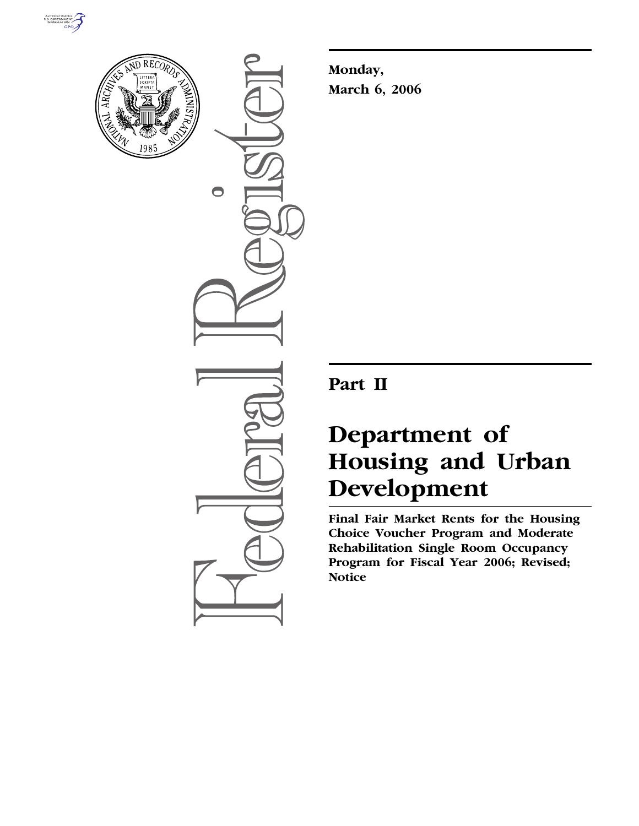



 $\bigcirc$ 

**Monday, March 6, 2006** 

# **Part II**

# **Department of Housing and Urban Development**

**Final Fair Market Rents for the Housing Choice Voucher Program and Moderate Rehabilitation Single Room Occupancy Program for Fiscal Year 2006; Revised; Notice**